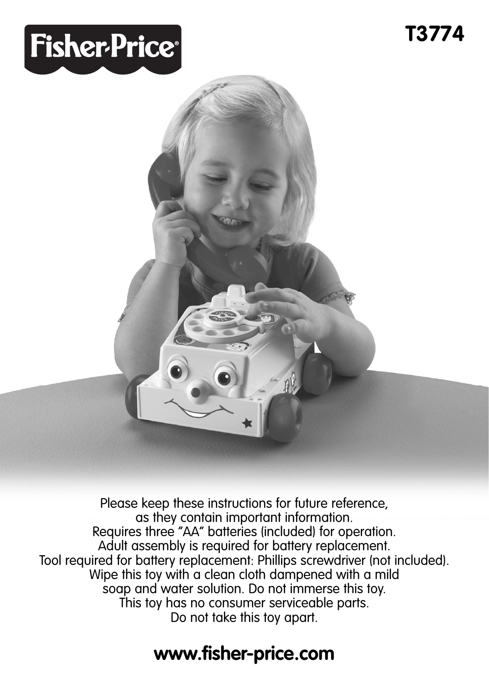# **Fisher-Price®**



Please keep these instructions for future reference, as they contain important information. Requires three "AA" batteries (included) for operation. Adult assembly is required for battery replacement. Tool required for battery replacement: Phillips screwdriver (not included). Wipe this toy with a clean cloth dampened with a mild soap and water solution. Do not immerse this toy. This toy has no consumer serviceable parts. Do not take this toy apart.

#### **www.fisher-price.com**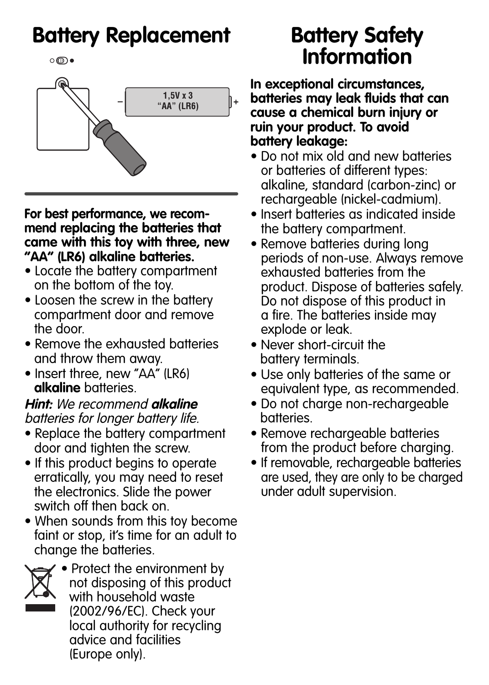### **Battery Replacement**

 $\circ \textcircled{\textsf{I}}\bullet$ 



**For best performance, we recommend replacing the batteries that came with this toy with three, new "AA" (LR6) alkaline batteries.** 

- Locate the battery compartment on the bottom of the toy.
- Loosen the screw in the battery compartment door and remove the door.
- Remove the exhausted batteries and throw them away.
- Insert three, new "AA" (LR6) **alkaline** batteries.

**Hint:** We recommend **alkaline** batteries for longer battery life.

- Replace the battery compartment door and tighten the screw.
- If this product begins to operate erratically, you may need to reset the electronics. Slide the power switch off then back on.
- When sounds from this toy become faint or stop, it's time for an adult to change the batteries.



• Protect the environment by not disposing of this product with household waste (2002/96/EC). Check your local authority for recycling advice and facilities (Europe only).

#### **Battery Safety Information**

**In exceptional circumstances, batteries may leak fluids that can cause a chemical burn injury or ruin your product. To avoid battery leakage:**

- Do not mix old and new batteries or batteries of different types: alkaline, standard (carbon-zinc) or rechargeable (nickel-cadmium).
- Insert batteries as indicated inside the battery compartment.
- Remove batteries during long periods of non-use. Always remove exhausted batteries from the product. Dispose of batteries safely. Do not dispose of this product in a fire. The batteries inside may explode or leak.
- Never short-circuit the battery terminals.
- Use only batteries of the same or equivalent type, as recommended.
- Do not charge non-rechargeable batteries.
- Remove rechargeable batteries from the product before charging.
- If removable, rechargeable batteries are used, they are only to be charged under adult supervision.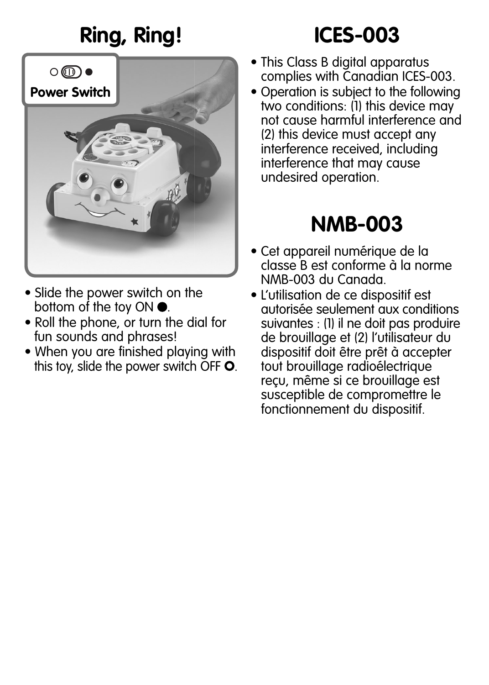# **Ring, Ring! ICES-003**



- Slide the power switch on the bottom of the toy ON  $\bullet$ .
- Roll the phone, or turn the dial for fun sounds and phrases!
- When you are finished playing with this toy, slide the power switch OFF  $O$ .

- This Class B digital apparatus complies with Canadian ICES-003.
- Operation is subject to the following two conditions: (1) this device may not cause harmful interference and (2) this device must accept any interference received, including interference that may cause undesired operation.

#### **NMB-003**

- Cet appareil numérique de la classe B est conforme à la norme NMB-003 du Canada.
- L'utilisation de ce dispositif est autorisée seulement aux conditions suivantes : (1) il ne doit pas produire de brouillage et (2) l'utilisateur du dispositif doit être prêt à accepter tout brouillage radioélectrique reçu, même si ce brouillage est susceptible de compromettre le fonctionnement du dispositif.